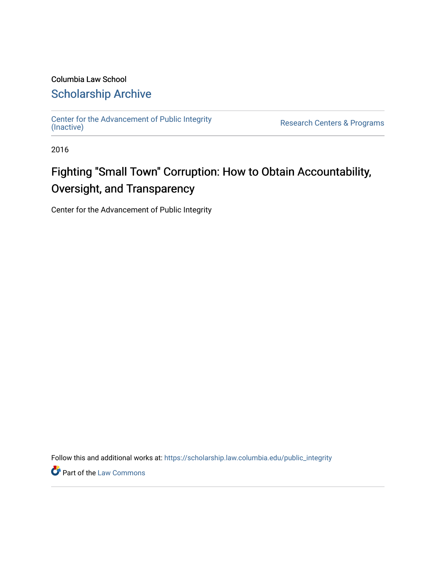## Columbia Law School [Scholarship Archive](https://scholarship.law.columbia.edu/)

[Center for the Advancement of Public Integrity](https://scholarship.law.columbia.edu/public_integrity)<br>(Inactive)

Research Centers & Programs

2016

## Fighting "Small Town" Corruption: How to Obtain Accountability, Oversight, and Transparency

Center for the Advancement of Public Integrity

Follow this and additional works at: [https://scholarship.law.columbia.edu/public\\_integrity](https://scholarship.law.columbia.edu/public_integrity?utm_source=scholarship.law.columbia.edu%2Fpublic_integrity%2F79&utm_medium=PDF&utm_campaign=PDFCoverPages)

Part of the [Law Commons](http://network.bepress.com/hgg/discipline/578?utm_source=scholarship.law.columbia.edu%2Fpublic_integrity%2F79&utm_medium=PDF&utm_campaign=PDFCoverPages)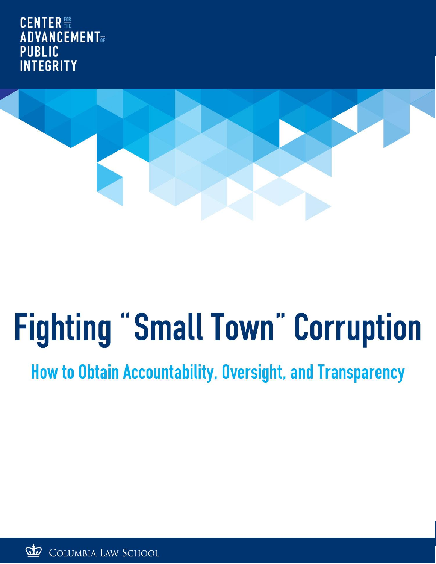**CENTER ADVANCEMENT PUBLIC INTEGRITY** 



# **Fighting "Small Town" Corruption**

**How to Obtain Accountability, Oversight, and Transparency** 

 $\mathcal{P}$ COLUMBIA LAW SCHOOL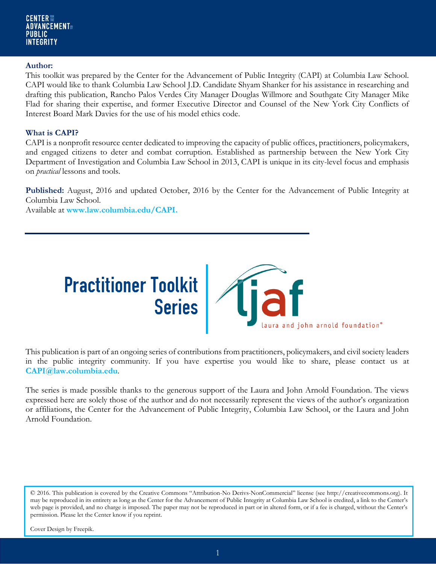#### **Author:**

This toolkit was prepared by the Center for the Advancement of Public Integrity (CAPI) at Columbia Law School. CAPI would like to thank Columbia Law School J.D. Candidate Shyam Shanker for his assistance in researching and drafting this publication, Rancho Palos Verdes City Manager Douglas Willmore and Southgate City Manager Mike Flad for sharing their expertise, and former Executive Director and Counsel of the New York City Conflicts of Interest Board Mark Davies for the use of his model ethics code.

## **What is CAPI?**

CAPI is a nonprofit resource center dedicated to improving the capacity of public offices, practitioners, policymakers, and engaged citizens to deter and combat corruption. Established as partnership between the New York City Department of Investigation and Columbia Law School in 2013, CAPI is unique in its city-level focus and emphasis on *practical* lessons and tools.

**Published:** August, 2016 and updated October, 2016 by the Center for the Advancement of Public Integrity at Columbia Law School.

Available at **www.law.columbia.edu/CAPI.** 



This publication is part of an ongoing series of contributions from practitioners, policymakers, and civil society leaders in the public integrity community. If you have expertise you would like to share, please contact us at **CAPI@law.columbia.edu**.

The series is made possible thanks to the generous support of the Laura and John Arnold Foundation. The views expressed here are solely those of the author and do not necessarily represent the views of the author's organization or affiliations, the Center for the Advancement of Public Integrity, Columbia Law School, or the Laura and John Arnold Foundation.

<sup>© 2016</sup>. This publication is covered by the Creative Commons "Attribution-No Derivs-NonCommercial" license (see http://creativecommons.org). It may be reproduced in its entirety as long as the Center for the Advancement of Public Integrity at Columbia Law School is credited, a link to the Center's web page is provided, and no charge is imposed. The paper may not be reproduced in part or in altered form, or if a fee is charged, without the Center's permission. Please let the Center know if you reprint.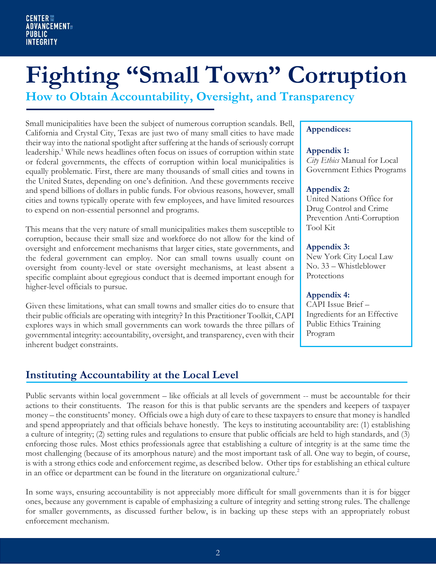## **Fighting "Small Town" Corruption**

**How to Obtain Accountability, Oversight, and Transparency**

Small municipalities have been the subject of numerous corruption scandals. Bell, California and Crystal City, Texas are just two of many small cities to have made their way into the national spotlight after suffering at the hands of seriously corrupt leadership.<sup>1</sup> While news headlines often focus on issues of corruption within state or federal governments, the effects of corruption within local municipalities is equally problematic. First, there are many thousands of small cities and towns in the United States, depending on one's definition. And these governments receive and spend billions of dollars in public funds. For obvious reasons, however, small cities and towns typically operate with few employees, and have limited resources to expend on non-essential personnel and programs.

This means that the very nature of small municipalities makes them susceptible to corruption, because their small size and workforce do not allow for the kind of oversight and enforcement mechanisms that larger cities, state governments, and the federal government can employ. Nor can small towns usually count on oversight from county-level or state oversight mechanisms, at least absent a specific complaint about egregious conduct that is deemed important enough for higher-level officials to pursue.

Given these limitations, what can small towns and smaller cities do to ensure that their public officials are operating with integrity? In this Practitioner Toolkit, CAPI explores ways in which small governments can work towards the three pillars of governmental integrity: accountability, oversight, and transparency, even with their inherent budget constraints.

## **Appendices:**

## **Appendix 1:**

*City Ethics* Manual for Local Government Ethics Programs

## **Appendix 2:**

United Nations Office for Drug Control and Crime Prevention Anti-Corruption Tool Kit

## **Appendix 3:**

New York City Local Law No. 33 – Whistleblower Protections

## **Appendix 4:**

CAPI Issue Brief – Ingredients for an Effective Public Ethics Training Program

## **Instituting Accountability at the Local Level**

Public servants within local government – like officials at all levels of government -- must be accountable for their actions to their constituents. The reason for this is that public servants are the spenders and keepers of taxpayer money – the constituents' money. Officials owe a high duty of care to these taxpayers to ensure that money is handled and spend appropriately and that officials behave honestly. The keys to instituting accountability are: (1) establishing a culture of integrity; (2) setting rules and regulations to ensure that public officials are held to high standards, and (3) enforcing those rules. Most ethics professionals agree that establishing a culture of integrity is at the same time the most challenging (because of its amorphous nature) and the most important task of all. One way to begin, of course, is with a strong ethics code and enforcement regime, as described below. Other tips for establishing an ethical culture in an office or department can be found in the literature on organizational culture.<sup>2</sup>

In some ways, ensuring accountability is not appreciably more difficult for small governments than it is for bigger ones, because any government is capable of emphasizing a culture of integrity and setting strong rules. The challenge for smaller governments, as discussed further below, is in backing up these steps with an appropriately robust enforcement mechanism.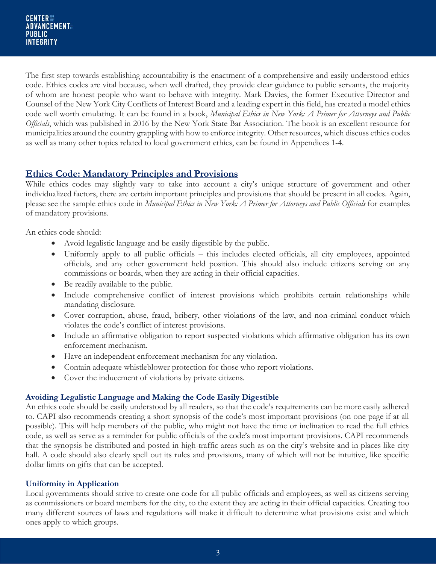The first step towards establishing accountability is the enactment of a comprehensive and easily understood ethics code. Ethics codes are vital because, when well drafted, they provide clear guidance to public servants, the majority of whom are honest people who want to behave with integrity. Mark Davies, the former Executive Director and Counsel of the New York City Conflicts of Interest Board and a leading expert in this field, has created a model ethics code well worth emulating. It can be found in a book, *Municipal Ethics in New York: A Primer for Attorneys and Public Officials*, which was published in 2016 by the New York State Bar Association. The book is an excellent resource for municipalities around the country grappling with how to enforce integrity. Other resources, which discuss ethics codes as well as many other topics related to local government ethics, can be found in Appendices 1-4.

## **Ethics Code: Mandatory Principles and Provisions**

While ethics codes may slightly vary to take into account a city's unique structure of government and other individualized factors, there are certain important principles and provisions that should be present in all codes. Again, please see the sample ethics code in *Municipal Ethics in New York: A Primer for Attorneys and Public Officials* for examples of mandatory provisions.

An ethics code should:

- Avoid legalistic language and be easily digestible by the public.
- Uniformly apply to all public officials this includes elected officials, all city employees, appointed officials, and any other government held position. This should also include citizens serving on any commissions or boards, when they are acting in their official capacities.
- Be readily available to the public.
- Include comprehensive conflict of interest provisions which prohibits certain relationships while mandating disclosure.
- Cover corruption, abuse, fraud, bribery, other violations of the law, and non-criminal conduct which violates the code's conflict of interest provisions.
- Include an affirmative obligation to report suspected violations which affirmative obligation has its own enforcement mechanism.
- Have an independent enforcement mechanism for any violation.
- Contain adequate whistleblower protection for those who report violations.
- Cover the inducement of violations by private citizens.

## **Avoiding Legalistic Language and Making the Code Easily Digestible**

An ethics code should be easily understood by all readers, so that the code's requirements can be more easily adhered to. CAPI also recommends creating a short synopsis of the code's most important provisions (on one page if at all possible). This will help members of the public, who might not have the time or inclination to read the full ethics code, as well as serve as a reminder for public officials of the code's most important provisions. CAPI recommends that the synopsis be distributed and posted in high-traffic areas such as on the city's website and in places like city hall. A code should also clearly spell out its rules and provisions, many of which will not be intuitive, like specific dollar limits on gifts that can be accepted.

## **Uniformity in Application**

Local governments should strive to create one code for all public officials and employees, as well as citizens serving as commissioners or board members for the city, to the extent they are acting in their official capacities. Creating too many different sources of laws and regulations will make it difficult to determine what provisions exist and which ones apply to which groups.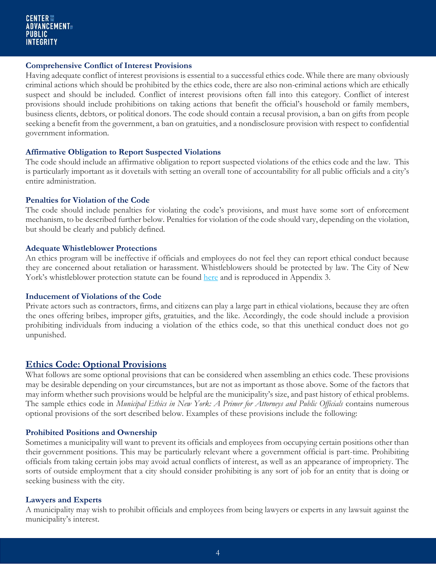## **Comprehensive Conflict of Interest Provisions**

Having adequate conflict of interest provisions is essential to a successful ethics code. While there are many obviously criminal actions which should be prohibited by the ethics code, there are also non-criminal actions which are ethically suspect and should be included. Conflict of interest provisions often fall into this category. Conflict of interest provisions should include prohibitions on taking actions that benefit the official's household or family members, business clients, debtors, or political donors. The code should contain a recusal provision, a ban on gifts from people seeking a benefit from the government, a ban on gratuities, and a nondisclosure provision with respect to confidential government information.

## **Affirmative Obligation to Report Suspected Violations**

The code should include an affirmative obligation to report suspected violations of the ethics code and the law. This is particularly important as it dovetails with setting an overall tone of accountability for all public officials and a city's entire administration.

## **Penalties for Violation of the Code**

The code should include penalties for violating the code's provisions, and must have some sort of enforcement mechanism, to be described further below. Penalties for violation of the code should vary, depending on the violation, but should be clearly and publicly defined.

## **Adequate Whistleblower Protections**

An ethics program will be ineffective if officials and employees do not feel they can report ethical conduct because they are concerned about retaliation or harassment. Whistleblowers should be protected by law. The City of New York's whistleblower protection statute can be found [here](http://www.nyc.gov/html/doi/downloads/pdf/Report/Local%2520Law%252033.pdf) and is reproduced in Appendix 3.

## **Inducement of Violations of the Code**

Private actors such as contractors, firms, and citizens can play a large part in ethical violations, because they are often the ones offering bribes, improper gifts, gratuities, and the like. Accordingly, the code should include a provision prohibiting individuals from inducing a violation of the ethics code, so that this unethical conduct does not go unpunished.

## **Ethics Code: Optional Provisions**

What follows are some optional provisions that can be considered when assembling an ethics code. These provisions may be desirable depending on your circumstances, but are not as important as those above. Some of the factors that may inform whether such provisions would be helpful are the municipality's size, and past history of ethical problems. The sample ethics code in *Municipal Ethics in New York: A Primer for Attorneys and Public Officials* contains numerous optional provisions of the sort described below. Examples of these provisions include the following:

## **Prohibited Positions and Ownership**

Sometimes a municipality will want to prevent its officials and employees from occupying certain positions other than their government positions. This may be particularly relevant where a government official is part-time. Prohibiting officials from taking certain jobs may avoid actual conflicts of interest, as well as an appearance of impropriety. The sorts of outside employment that a city should consider prohibiting is any sort of job for an entity that is doing or seeking business with the city.

## **Lawyers and Experts**

A municipality may wish to prohibit officials and employees from being lawyers or experts in any lawsuit against the municipality's interest.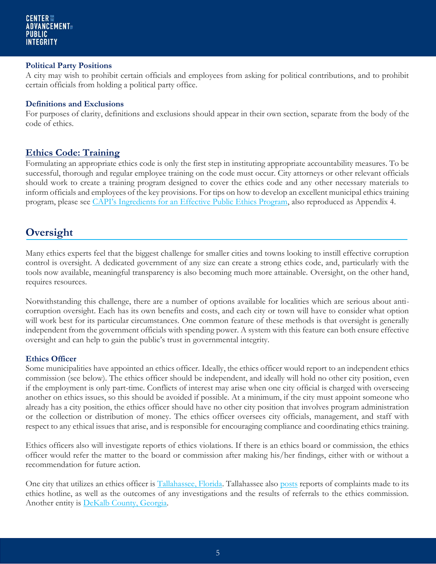## **Political Party Positions**

A city may wish to prohibit certain officials and employees from asking for political contributions, and to prohibit certain officials from holding a political party office.

## **Definitions and Exclusions**

For purposes of clarity, definitions and exclusions should appear in their own section, separate from the body of the code of ethics.

## **Ethics Code: Training**

Formulating an appropriate ethics code is only the first step in instituting appropriate accountability measures. To be successful, thorough and regular employee training on the code must occur. City attorneys or other relevant officials should work to create a training program designed to cover the ethics code and any other necessary materials to inform officials and employees of the key provisions. For tips on how to develop an excellent municipal ethics training program, please see [CAPI's Ingredients for an Effective Public Ethics Program](http://web.law.columbia.edu/sites/default/files/microsites/public-integrity/files/ingredients_for_an_effective_public_ethics_training_program_-_capi_issue_brief_-_august_2016.pdf), also reproduced as Appendix 4.

## **Oversight**

Many ethics experts feel that the biggest challenge for smaller cities and towns looking to instill effective corruption control is oversight. A dedicated government of any size can create a strong ethics code, and, particularly with the tools now available, meaningful transparency is also becoming much more attainable. Oversight, on the other hand, requires resources.

Notwithstanding this challenge, there are a number of options available for localities which are serious about anticorruption oversight. Each has its own benefits and costs, and each city or town will have to consider what option will work best for its particular circumstances. One common feature of these methods is that oversight is generally independent from the government officials with spending power. A system with this feature can both ensure effective oversight and can help to gain the public's trust in governmental integrity.

## **Ethics Officer**

Some municipalities have appointed an ethics officer. Ideally, the ethics officer would report to an independent ethics commission (see below). The ethics officer should be independent, and ideally will hold no other city position, even if the employment is only part-time. Conflicts of interest may arise when one city official is charged with overseeing another on ethics issues, so this should be avoided if possible. At a minimum, if the city must appoint someone who already has a city position, the ethics officer should have no other city position that involves program administration or the collection or distribution of money. The ethics officer oversees city officials, management, and staff with respect to any ethical issues that arise, and is responsible for encouraging compliance and coordinating ethics training.

Ethics officers also will investigate reports of ethics violations. If there is an ethics board or commission, the ethics officer would refer the matter to the board or commission after making his/her findings, either with or without a recommendation for future action.

One city that utilizes an ethics officer is [Tallahassee, Florida.](https://www.talgov.com/Uploads/Public/Documents/hr/hr/specs/791.pdf) Tallahassee also [posts](http://www.talgov.com/uploads/public/documents/ethics/pdf/eb-160119-tracking-011316.pdf) reports of complaints made to its ethics hotline, as well as the outcomes of any investigations and the results of referrals to the ethics commission. Another entity is [DeKalb County, Georgia.](http://www.ajc.com/news/news/local-govt-politics/ethics-chief-hopes-to-make-a-difference-in-dekalb/nq7dd/)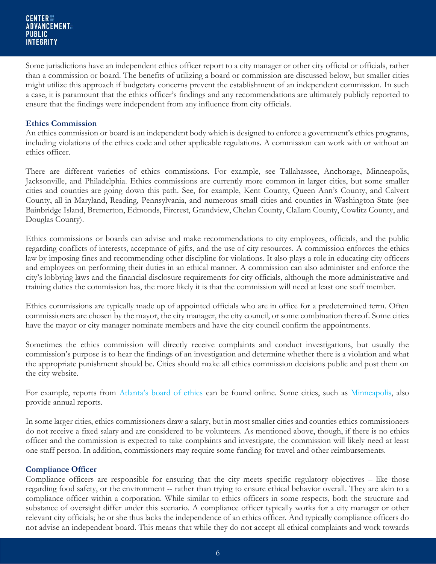#### CENTER ::: **ADVANCEMENT PUBLIC INTEGRITY**

Some jurisdictions have an independent ethics officer report to a city manager or other city official or officials, rather than a commission or board. The benefits of utilizing a board or commission are discussed below, but smaller cities might utilize this approach if budgetary concerns prevent the establishment of an independent commission. In such a case, it is paramount that the ethics officer's findings and any recommendations are ultimately publicly reported to ensure that the findings were independent from any influence from city officials.

## **Ethics Commission**

An ethics commission or board is an independent body which is designed to enforce a government's ethics programs, including violations of the ethics code and other applicable regulations. A commission can work with or without an ethics officer.

There are different varieties of ethics commissions. For example, see Tallahassee, Anchorage, Minneapolis, Jacksonville, and Philadelphia. Ethics commissions are currently more common in larger cities, but some smaller cities and counties are going down this path. See, for example, Kent County, Queen Ann's County, and Calvert County, all in Maryland, Reading, Pennsylvania, and numerous small cities and counties in Washington State (see Bainbridge Island, Bremerton, Edmonds, Fircrest, Grandview, Chelan County, Clallam County, Cowlitz County, and Douglas County).

Ethics commissions or boards can advise and make recommendations to city employees, officials, and the public regarding conflicts of interests, acceptance of gifts, and the use of city resources. A commission enforces the ethics law by imposing fines and recommending other discipline for violations. It also plays a role in educating city officers and employees on performing their duties in an ethical manner. A commission can also administer and enforce the city's lobbying laws and the financial disclosure requirements for city officials, although the more administrative and training duties the commission has, the more likely it is that the commission will need at least one staff member.

Ethics commissions are typically made up of appointed officials who are in office for a predetermined term. Often commissioners are chosen by the mayor, the city manager, the city council, or some combination thereof. Some cities have the mayor or city manager nominate members and have the city council confirm the appointments.

Sometimes the ethics commission will directly receive complaints and conduct investigations, but usually the commission's purpose is to hear the findings of an investigation and determine whether there is a violation and what the appropriate punishment should be. Cities should make all ethics commission decisions public and post them on the city website.

For example, reports from [Atlanta's board of ethics](http://www.atlantaethics.org/enforcement-6/ethics-cases) can be found online. Some cities, such as [Minneapolis,](http://www.minneapolismn.gov/epb/WCMS1P-093923) also provide annual reports.

In some larger cities, ethics commissioners draw a salary, but in most smaller cities and counties ethics commissioners do not receive a fixed salary and are considered to be volunteers. As mentioned above, though, if there is no ethics officer and the commission is expected to take complaints and investigate, the commission will likely need at least one staff person. In addition, commissioners may require some funding for travel and other reimbursements.

## **Compliance Officer**

Compliance officers are responsible for ensuring that the city meets specific regulatory objectives – like those regarding food safety, or the environment -- rather than trying to ensure ethical behavior overall. They are akin to a compliance officer within a corporation. While similar to ethics officers in some respects, both the structure and substance of oversight differ under this scenario. A compliance officer typically works for a city manager or other relevant city officials; he or she thus lacks the independence of an ethics officer. And typically compliance officers do not advise an independent board. This means that while they do not accept all ethical complaints and work towards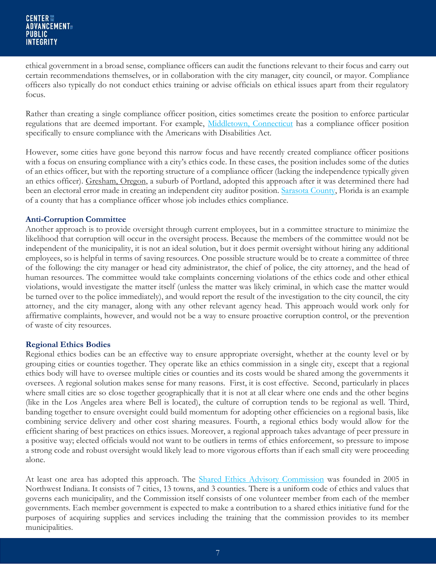ethical government in a broad sense, compliance officers can audit the functions relevant to their focus and carry out certain recommendations themselves, or in collaboration with the city manager, city council, or mayor. Compliance officers also typically do not conduct ethics training or advise officials on ethical issues apart from their regulatory focus.

Rather than creating a single compliance officer position, cities sometimes create the position to enforce particular regulations that are deemed important. For example, [Middletown, Connecticut](http://www.cityofmiddletown.com/content/117/123/159/1252/7755.aspx) has a compliance officer position specifically to ensure compliance with the Americans with Disabilities Act.

However, some cities have gone beyond this narrow focus and have recently created compliance officer positions with a focus on ensuring compliance with a city's ethics code. In these cases, the position includes some of the duties of an ethics officer, but with the reporting structure of a compliance officer (lacking the independence typically given an ethics officer). Gresham, Oregon, a suburb of Portland, adopted this approach after it was determined there had been an electoral error made in creating an independent city auditor position. [Sarasota County,](https://www.scgov.net/CountyAdministration/Pages/EthicsOfficerOlmstead.aspx) Florida is an example of a county that has a compliance officer whose job includes ethics compliance.

## **Anti-Corruption Committee**

Another approach is to provide oversight through current employees, but in a committee structure to minimize the likelihood that corruption will occur in the oversight process. Because the members of the committee would not be independent of the municipality, it is not an ideal solution, but it does permit oversight without hiring any additional employees, so is helpful in terms of saving resources. One possible structure would be to create a committee of three of the following: the city manager or head city administrator, the chief of police, the city attorney, and the head of human resources. The committee would take complaints concerning violations of the ethics code and other ethical violations, would investigate the matter itself (unless the matter was likely criminal, in which case the matter would be turned over to the police immediately), and would report the result of the investigation to the city council, the city attorney, and the city manager, along with any other relevant agency head. This approach would work only for affirmative complaints, however, and would not be a way to ensure proactive corruption control, or the prevention of waste of city resources.

## **Regional Ethics Bodies**

Regional ethics bodies can be an effective way to ensure appropriate oversight, whether at the county level or by grouping cities or counties together. They operate like an ethics commission in a single city, except that a regional ethics body will have to oversee multiple cities or counties and its costs would be shared among the governments it oversees. A regional solution makes sense for many reasons. First, it is cost effective. Second, particularly in places where small cities are so close together geographically that it is not at all clear where one ends and the other begins (like in the Los Angeles area where Bell is located), the culture of corruption tends to be regional as well. Third, banding together to ensure oversight could build momentum for adopting other efficiencies on a regional basis, like combining service delivery and other cost sharing measures. Fourth, a regional ethics body would allow for the efficient sharing of best practices on ethics issues. Moreover, a regional approach takes advantage of peer pressure in a positive way; elected officials would not want to be outliers in terms of ethics enforcement, so pressure to impose a strong code and robust oversight would likely lead to more vigorous efforts than if each small city were proceeding alone.

At least one area has adopted this approach. The [Shared Ethics Advisory Commission](http://www.sharedethics.com/index.htm) was founded in 2005 in Northwest Indiana. It consists of 7 cities, 13 towns, and 3 counties. There is a uniform code of ethics and values that governs each municipality, and the Commission itself consists of one volunteer member from each of the member governments. Each member government is expected to make a contribution to a shared ethics initiative fund for the purposes of acquiring supplies and services including the training that the commission provides to its member municipalities.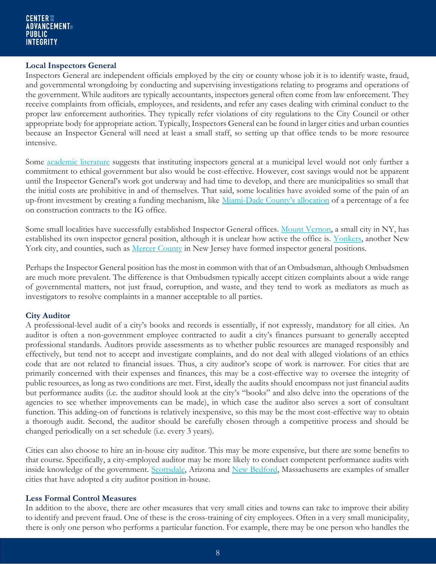## **Local Inspectors General**

Inspectors General are independent officials employed by the city or county whose job it is to identify waste, fraud, and governmental wrongdoing by conducting and supervising investigations relating to programs and operations of the government. While auditors are typically accountants, inspectors general often come from law enforcement. They receive complaints from officials, employees, and residents, and refer any cases dealing with criminal conduct to the proper law enforcement authorities. They typically refer violations of city regulations to the City Council or other appropriate body for appropriate action. Typically, Inspectors General can be found in larger cities and urban counties because an Inspector General will need at least a small staff, so setting up that office tends to be more resource intensive.

Some [academic literature](http://digitalcommons.tourolaw.edu/cgi/viewcontent.cgi?article=1488&context=scholarlyworks) suggests that instituting inspectors general at a municipal level would not only further a commitment to ethical government but also would be cost-effective. However, cost savings would not be apparent until the Inspector General's work got underway and had time to develop, and there are municipalities so small that the initial costs are prohibitive in and of themselves. That said, some localities have avoided some of the pain of an up-front investment by creating a funding mechanism, like Miami-[Dade County's](http://www.miamidadeig.org/ordinances2.htm) allocation of a percentage of a fee on construction contracts to the IG office.

Some small localities have successfully established Inspector General offices. [Mount Vernon,](http://cmvny.com/department/ig/) a small city in NY, has established its own inspector general position, although it is unclear how active the office is. [Yonkers,](http://www.yonkersny.gov/government/departments/inspector-general) another New York city, and counties, such as [Mercer County](http://nj.gov/counties/mercer/departments/inspector/) in New Jersey have formed inspector general positions.

Perhaps the Inspector General position has the most in common with that of an Ombudsman, although Ombudsmen are much more prevalent. The difference is that Ombudsmen typically accept citizen complaints about a wide range of governmental matters, not just fraud, corruption, and waste, and they tend to work as mediators as much as investigators to resolve complaints in a manner acceptable to all parties.

## **City Auditor**

A professional-level audit of a city's books and records is essentially, if not expressly, mandatory for all cities. An auditor is often a non-government employee contracted to audit a city's finances pursuant to generally accepted professional standards. Auditors provide assessments as to whether public resources are managed responsibly and effectively, but tend not to accept and investigate complaints, and do not deal with alleged violations of an ethics code that are not related to financial issues. Thus, a city auditor's scope of work is narrower. For cities that are primarily concerned with their expenses and finances, this may be a cost-effective way to oversee the integrity of public resources, as long as two conditions are met. First, ideally the audits should encompass not just financial audits but performance audits (i.e. the auditor should look at the city's "books" and also delve into the operations of the agencies to see whether improvements can be made), in which case the auditor also serves a sort of consultant function. This adding-on of functions is relatively inexpensive, so this may be the most cost-effective way to obtain a thorough audit. Second, the auditor should be carefully chosen through a competitive process and should be changed periodically on a set schedule (i.e. every 3 years).

Cities can also choose to hire an in-house city auditor. This may be more expensive, but there are some benefits to that course. Specifically, a city-employed auditor may be more likely to conduct competent performance audits with inside knowledge of the government. [Scottsdale,](http://www.scottsdaleaz.gov/auditor) Arizona and [New Bedford,](http://www.newbedford-ma.gov/auditors-office/) Massachusetts are examples of smaller cities that have adopted a city auditor position in-house.

## **Less Formal Control Measures**

In addition to the above, there are other measures that very small cities and towns can take to improve their ability to identify and prevent fraud. One of these is the cross-training of city employees. Often in a very small municipality, there is only one person who performs a particular function. For example, there may be one person who handles the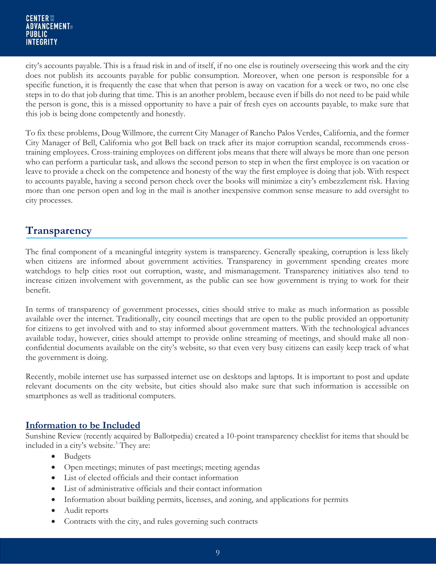city's accounts payable. This is a fraud risk in and of itself, if no one else is routinely overseeing this work and the city does not publish its accounts payable for public consumption. Moreover, when one person is responsible for a specific function, it is frequently the case that when that person is away on vacation for a week or two, no one else steps in to do that job during that time. This is an another problem, because even if bills do not need to be paid while the person is gone, this is a missed opportunity to have a pair of fresh eyes on accounts payable, to make sure that this job is being done competently and honestly.

To fix these problems, Doug Willmore, the current City Manager of Rancho Palos Verdes, California, and the former City Manager of Bell, California who got Bell back on track after its major corruption scandal, recommends crosstraining employees. Cross-training employees on different jobs means that there will always be more than one person who can perform a particular task, and allows the second person to step in when the first employee is on vacation or leave to provide a check on the competence and honesty of the way the first employee is doing that job. With respect to accounts payable, having a second person check over the books will minimize a city's embezzlement risk. Having more than one person open and log in the mail is another inexpensive common sense measure to add oversight to city processes.

## **Transparency**

The final component of a meaningful integrity system is transparency. Generally speaking, corruption is less likely when citizens are informed about government activities. Transparency in government spending creates more watchdogs to help cities root out corruption, waste, and mismanagement. Transparency initiatives also tend to increase citizen involvement with government, as the public can see how government is trying to work for their benefit.

In terms of transparency of government processes, cities should strive to make as much information as possible available over the internet. Traditionally, city council meetings that are open to the public provided an opportunity for citizens to get involved with and to stay informed about government matters. With the technological advances available today, however, cities should attempt to provide online streaming of meetings, and should make all nonconfidential documents available on the city's website, so that even very busy citizens can easily keep track of what the government is doing.

Recently, mobile internet use has surpassed internet use on desktops and laptops. It is important to post and update relevant documents on the city website, but cities should also make sure that such information is accessible on smartphones as well as traditional computers.

## **Information to be Included**

Sunshine Review (recently acquired by Ballotpedia) created a 10-point transparency checklist for items that should be included in a city's website.<sup>3</sup> They are:

- Budgets
- Open meetings; minutes of past meetings; meeting agendas
- List of elected officials and their contact information
- List of administrative officials and their contact information
- Information about building permits, licenses, and zoning, and applications for permits
- Audit reports
- Contracts with the city, and rules governing such contracts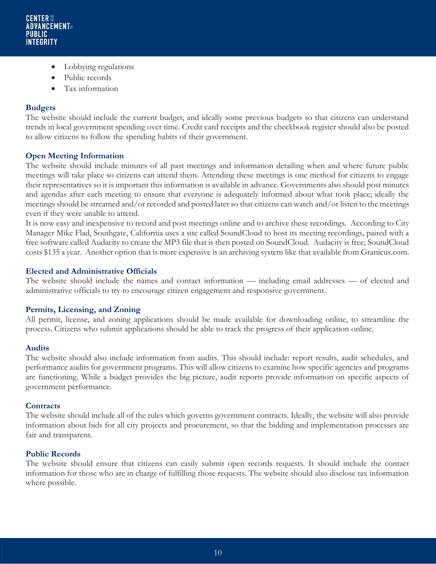- Lobbying regulations
- Public records
- Tax information

## **Budgets**

The website should include the current budget, and ideally some previous budgets so that citizens can understand trends in local government spending over time. Credit card receipts and the checkbook register should also be posted to allow citizens to follow the spending habits of their government.

## **Open Meeting Information**

The website should include minutes of all past meetings and information detailing when and where future public meetings will take place so citizens can attend them. Attending these meetings is one method for citizens to engage their representatives so it is important this information is available in advance. Governments also should post minutes and agendas after each meeting to ensure that everyone is adequately informed about what took place; ideally the meetings should be streamed and/or recorded and posted later so that citizens can watch and/or listen to the meetings even if they were unable to attend.

It is now easy and inexpensive to record and post meetings online and to archive these recordings. According to City Manager Mike Flad, Southgate, California uses a site called SoundCloud to host its meeting recordings, paired with a free software called Audacity to create the MP3 file that is then posted on SoundCloud. Audacity is free; SoundCloud costs \$135 a year. Another option that is more expensive is an archiving system like that available from Granicus.com.

## **Elected and Administrative Officials**

The website should include the names and contact information — including email addresses — of elected and administrative officials to try to encourage citizen engagement and responsive government.

## **Permits, Licensing, and Zoning**

All permit, license, and zoning applications should be made available for downloading online, to streamline the process. Citizens who submit applications should be able to track the progress of their application online.

## **Audits**

The website should also include information from audits. This should include: report results, audit schedules, and performance audits for government programs. This will allow citizens to examine how specific agencies and programs are functioning. While a budget provides the big picture, audit reports provide information on specific aspects of government performance.

## **Contracts**

The website should include all of the rules which governs government contracts. Ideally, the website will also provide information about bids for all city projects and procurement, so that the bidding and implementation processes are fair and transparent.

## **Public Records**

The website should ensure that citizens can easily submit open records requests. It should include the contact information for those who are in charge of fulfilling those requests. The website should also disclose tax information where possible.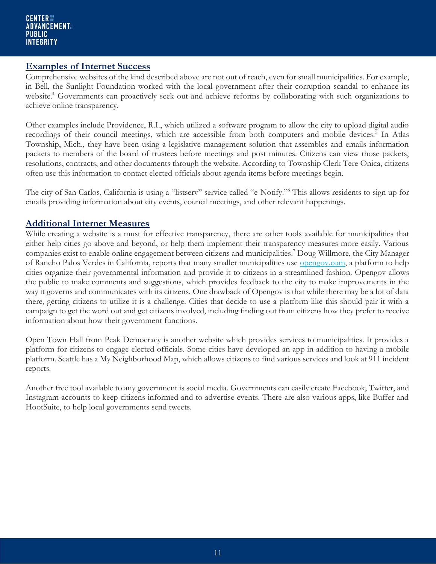## **Examples of Internet Success**

Comprehensive websites of the kind described above are not out of reach, even for small municipalities. For example, in Bell, the Sunlight Foundation worked with the local government after their corruption scandal to enhance its website.<sup>4</sup> Governments can proactively seek out and achieve reforms by collaborating with such organizations to achieve online transparency.

Other examples include Providence, R.I., which utilized a software program to allow the city to upload digital audio recordings of their council meetings, which are accessible from both computers and mobile devices.<sup>5</sup> In Atlas Township, Mich., they have been using a legislative management solution that assembles and emails information packets to members of the board of trustees before meetings and post minutes. Citizens can view those packets, resolutions, contracts, and other documents through the website. According to Township Clerk Tere Onica, citizens often use this information to contact elected officials about agenda items before meetings begin.

The city of San Carlos, California is using a "listserv" service called "e-Notify."<sup>6</sup> This allows residents to sign up for emails providing information about city events, council meetings, and other relevant happenings.

## **Additional Internet Measures**

While creating a website is a must for effective transparency, there are other tools available for municipalities that either help cities go above and beyond, or help them implement their transparency measures more easily. Various companies exist to enable online engagement between citizens and municipalities.<sup>7</sup> Doug Willmore, the City Manager of Rancho Palos Verdes in California, reports that many smaller municipalities use [opengov.com,](http://opengov.com/) a platform to help cities organize their governmental information and provide it to citizens in a streamlined fashion. Opengov allows the public to make comments and suggestions, which provides feedback to the city to make improvements in the way it governs and communicates with its citizens. One drawback of Opengov is that while there may be a lot of data there, getting citizens to utilize it is a challenge. Cities that decide to use a platform like this should pair it with a campaign to get the word out and get citizens involved, including finding out from citizens how they prefer to receive information about how their government functions.

Open Town Hall from Peak Democracy is another website which provides services to municipalities. It provides a platform for citizens to engage elected officials. Some cities have developed an app in addition to having a mobile platform. Seattle has a My Neighborhood Map, which allows citizens to find various services and look at 911 incident reports.

Another free tool available to any government is social media. Governments can easily create Facebook, Twitter, and Instagram accounts to keep citizens informed and to advertise events. There are also various apps, like Buffer and HootSuite, to help local governments send tweets.